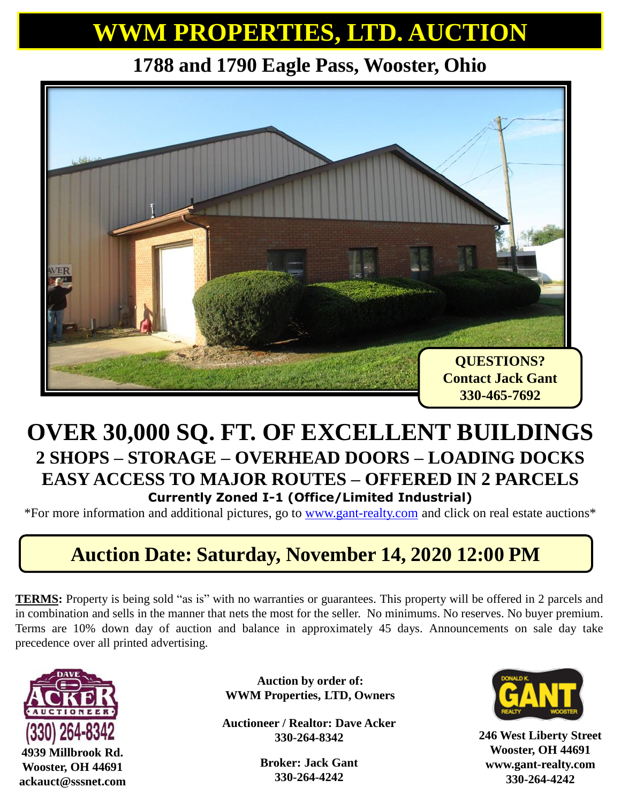## **WWM PROPERTIES, LTD. AUCTION**

**1788 and 1790 Eagle Pass, Wooster, Ohio**



#### **OVER 30,000 SQ. FT. OF EXCELLENT BUILDINGS 2 SHOPS – STORAGE – OVERHEAD DOORS – LOADING DOCKS EASY ACCESS TO MAJOR ROUTES – OFFERED IN 2 PARCELS Currently Zoned I-1 (Office/Limited Industrial)**

\*For more information and additional pictures, go to [www.gant-realty.com](http://www.gant-realty.com/) and click on real estate auctions\*

### **Auction Date: Saturday, November 14, 2020 12:00 PM**

**TERMS:** Property is being sold "as is" with no warranties or guarantees. This property will be offered in 2 parcels and in combination and sells in the manner that nets the most for the seller. No minimums. No reserves. No buyer premium. Terms are 10% down day of auction and balance in approximately 45 days. Announcements on sale day take precedence over all printed advertising.



**4939 Millbrook Rd. Wooster, OH 44691 ackauct@sssnet.com**

**Auction by order of: WWM Properties, LTD, Owners**

**Auctioneer / Realtor: Dave Acker 330-264-8342**

> **Broker: Jack Gant 330-264-4242**



**246 West Liberty Street Wooster, OH 44691 www.gant-realty.com 330-264-4242**